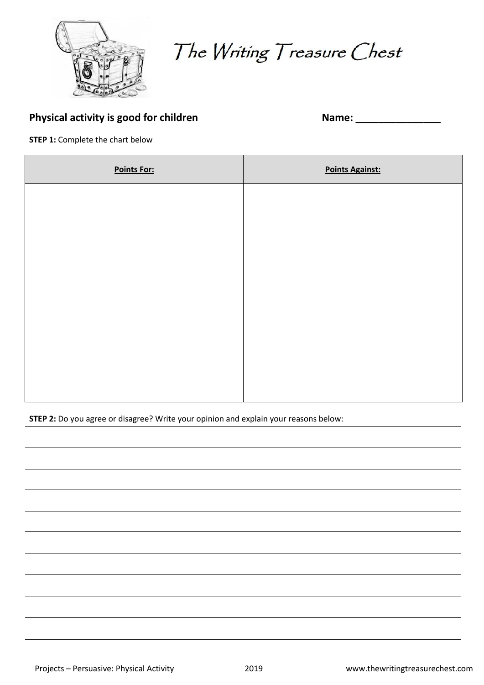

The Writing Treasure Chest

## **Physical activity is good for children Name: 2018**

| Name: |  |  |
|-------|--|--|

**STEP 1: Complete the chart below** 

| <b>Points For:</b> | <b>Points Against:</b> |
|--------------------|------------------------|
|                    |                        |
|                    |                        |
|                    |                        |
|                    |                        |
|                    |                        |
|                    |                        |
|                    |                        |
|                    |                        |

**STEP 2:** Do you agree or disagree? Write your opinion and explain your reasons below: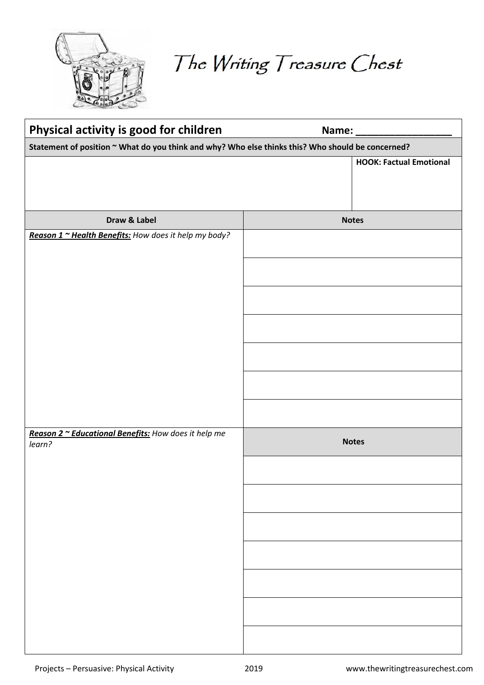

The Writing Treasure Chest

| Physical activity is good for children                                                            | Name:                          |
|---------------------------------------------------------------------------------------------------|--------------------------------|
| Statement of position ~ What do you think and why? Who else thinks this? Who should be concerned? |                                |
|                                                                                                   | <b>HOOK: Factual Emotional</b> |
| Draw & Label                                                                                      | <b>Notes</b>                   |
| Reason 1 ~ Health Benefits: How does it help my body?                                             |                                |
| Reason 2 ~ Educational Benefits: How does it help me<br>learn?                                    | <b>Notes</b>                   |
|                                                                                                   |                                |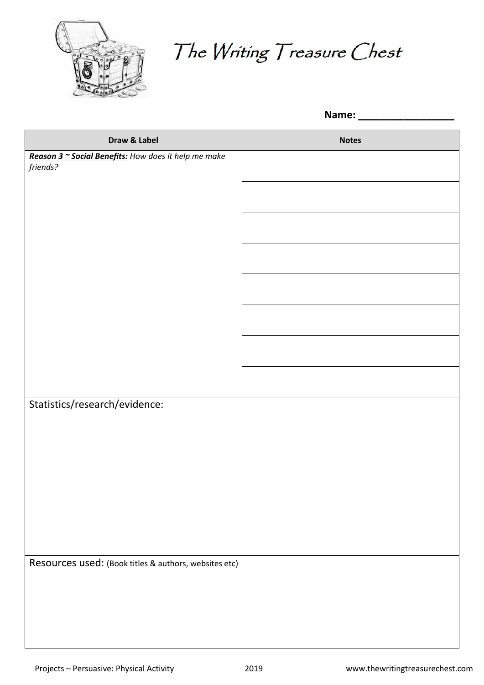

The Writing Treasure Chest

**Name: \_\_\_\_\_\_\_\_\_\_\_\_\_\_\_\_\_**

| Draw & Label                                          | <b>Notes</b> |
|-------------------------------------------------------|--------------|
| Reason 3 ~ Social Benefits: How does it help me make  |              |
| friends?                                              |              |
|                                                       |              |
|                                                       |              |
|                                                       |              |
|                                                       |              |
|                                                       |              |
|                                                       |              |
|                                                       |              |
|                                                       |              |
|                                                       |              |
|                                                       |              |
|                                                       |              |
|                                                       |              |
|                                                       |              |
|                                                       |              |
|                                                       |              |
|                                                       |              |
|                                                       |              |
|                                                       |              |
|                                                       |              |
|                                                       |              |
| Statistics/research/evidence:                         |              |
|                                                       |              |
|                                                       |              |
|                                                       |              |
|                                                       |              |
|                                                       |              |
|                                                       |              |
|                                                       |              |
|                                                       |              |
|                                                       |              |
|                                                       |              |
|                                                       |              |
|                                                       |              |
|                                                       |              |
|                                                       |              |
| Resources used: (Book titles & authors, websites etc) |              |
|                                                       |              |
|                                                       |              |
|                                                       |              |
|                                                       |              |
|                                                       |              |
|                                                       |              |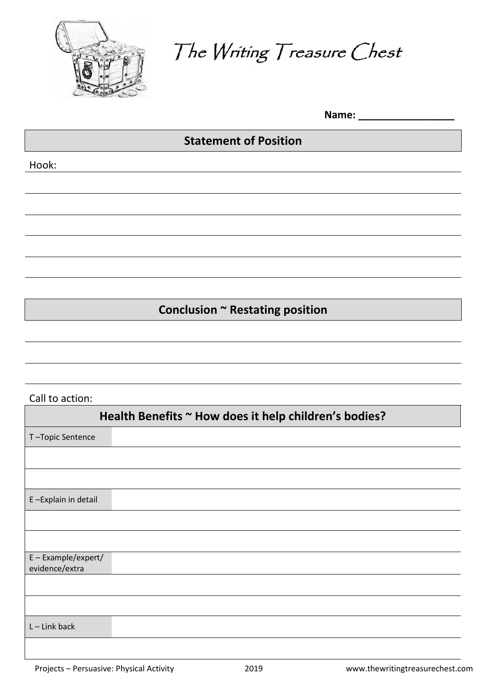

The Writing Treasure Chest

Name:

## **Statement of Position**

Hook:

**Conclusion ~ Restating position**

## Call to action:

| Health Benefits ~ How does it help children's bodies? |
|-------------------------------------------------------|
| T-Topic Sentence                                      |
|                                                       |
|                                                       |
| E-Explain in detail                                   |
|                                                       |
|                                                       |
| E - Example/expert/<br>evidence/extra                 |
|                                                       |
|                                                       |
| $L$ – Link back                                       |
|                                                       |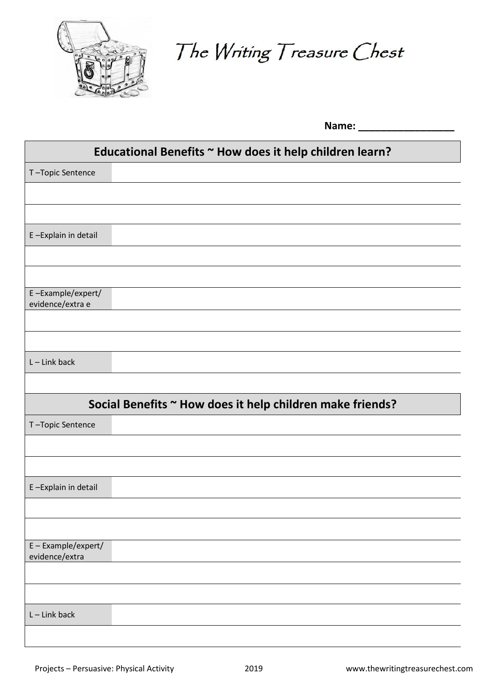

The Writing Treasure Chest

**Name: \_\_\_\_\_\_\_\_\_\_\_\_\_\_\_\_\_**

| Educational Benefits ~ How does it help children learn?   |  |  |
|-----------------------------------------------------------|--|--|
| T-Topic Sentence                                          |  |  |
|                                                           |  |  |
|                                                           |  |  |
| E-Explain in detail                                       |  |  |
|                                                           |  |  |
|                                                           |  |  |
| E-Example/expert/<br>evidence/extra e                     |  |  |
|                                                           |  |  |
|                                                           |  |  |
| $L -$ Link back                                           |  |  |
|                                                           |  |  |
| Social Benefits ~ How does it help children make friends? |  |  |
|                                                           |  |  |
| T-Topic Sentence                                          |  |  |
|                                                           |  |  |
|                                                           |  |  |
| E-Explain in detail                                       |  |  |
|                                                           |  |  |
|                                                           |  |  |
| E-Example/expert/                                         |  |  |
| evidence/extra                                            |  |  |
|                                                           |  |  |
| $L$ – Link back                                           |  |  |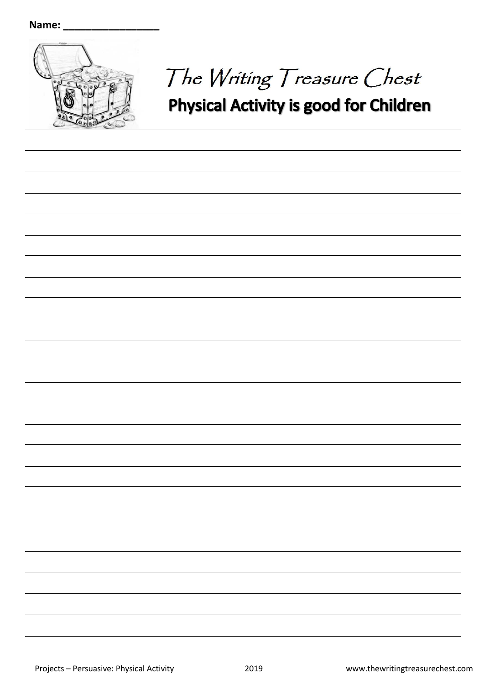

## The Writing Treasure Chest **Physical Activity is good for Children**

Projects – Persuasive: Physical Activity 2019 www.thewritingtreasurechest.com